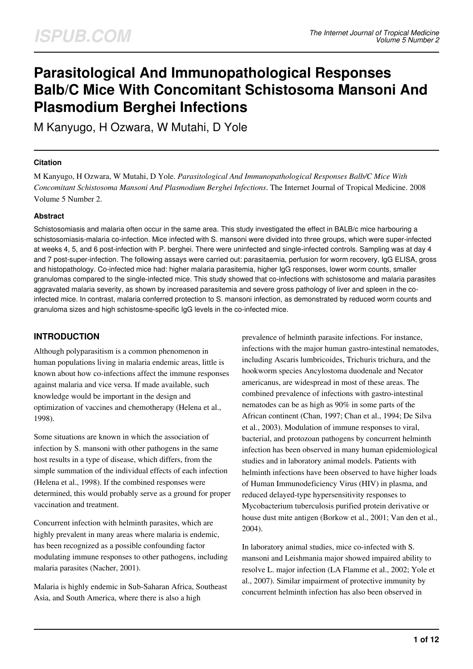# **Parasitological And Immunopathological Responses Balb/C Mice With Concomitant Schistosoma Mansoni And Plasmodium Berghei Infections**

M Kanyugo, H Ozwara, W Mutahi, D Yole

#### **Citation**

M Kanyugo, H Ozwara, W Mutahi, D Yole. *Parasitological And Immunopathological Responses Balb/C Mice With Concomitant Schistosoma Mansoni And Plasmodium Berghei Infections*. The Internet Journal of Tropical Medicine. 2008 Volume 5 Number 2.

#### **Abstract**

Schistosomiasis and malaria often occur in the same area. This study investigated the effect in BALB/c mice harbouring a schistosomiasis-malaria co-infection. Mice infected with S. mansoni were divided into three groups, which were super-infected at weeks 4, 5, and 6 post-infection with P. berghei. There were uninfected and single-infected controls. Sampling was at day 4 and 7 post-super-infection. The following assays were carried out: parasitaemia, perfusion for worm recovery, IgG ELISA, gross and histopathology. Co-infected mice had: higher malaria parasitemia, higher IgG responses, lower worm counts, smaller granulomas compared to the single-infected mice. This study showed that co-infections with schistosome and malaria parasites aggravated malaria severity, as shown by increased parasitemia and severe gross pathology of liver and spleen in the coinfected mice. In contrast, malaria conferred protection to S. mansoni infection, as demonstrated by reduced worm counts and granuloma sizes and high schistosme-specific IgG levels in the co-infected mice.

#### **INTRODUCTION**

Although polyparasitism is a common phenomenon in human populations living in malaria endemic areas, little is known about how co-infections affect the immune responses against malaria and vice versa. If made available, such knowledge would be important in the design and optimization of vaccines and chemotherapy (Helena et al., 1998).

Some situations are known in which the association of infection by S. mansoni with other pathogens in the same host results in a type of disease, which differs, from the simple summation of the individual effects of each infection (Helena et al., 1998). If the combined responses were determined, this would probably serve as a ground for proper vaccination and treatment.

Concurrent infection with helminth parasites, which are highly prevalent in many areas where malaria is endemic, has been recognized as a possible confounding factor modulating immune responses to other pathogens, including malaria parasites (Nacher, 2001).

Malaria is highly endemic in Sub-Saharan Africa, Southeast Asia, and South America, where there is also a high

prevalence of helminth parasite infections. For instance, infections with the major human gastro-intestinal nematodes, including Ascaris lumbricoides, Trichuris trichura, and the hookworm species Ancylostoma duodenale and Necator americanus, are widespread in most of these areas. The combined prevalence of infections with gastro-intestinal nematodes can be as high as 90% in some parts of the African continent (Chan, 1997; Chan et al., 1994; De Silva et al., 2003). Modulation of immune responses to viral, bacterial, and protozoan pathogens by concurrent helminth infection has been observed in many human epidemiological studies and in laboratory animal models. Patients with helminth infections have been observed to have higher loads of Human Immunodeficiency Virus (HIV) in plasma, and reduced delayed-type hypersensitivity responses to Mycobacterium tuberculosis purified protein derivative or house dust mite antigen (Borkow et al., 2001; Van den et al., 2004).

In laboratory animal studies, mice co-infected with S. mansoni and Leishmania major showed impaired ability to resolve L. major infection (LA Flamme et al., 2002; Yole et al., 2007). Similar impairment of protective immunity by concurrent helminth infection has also been observed in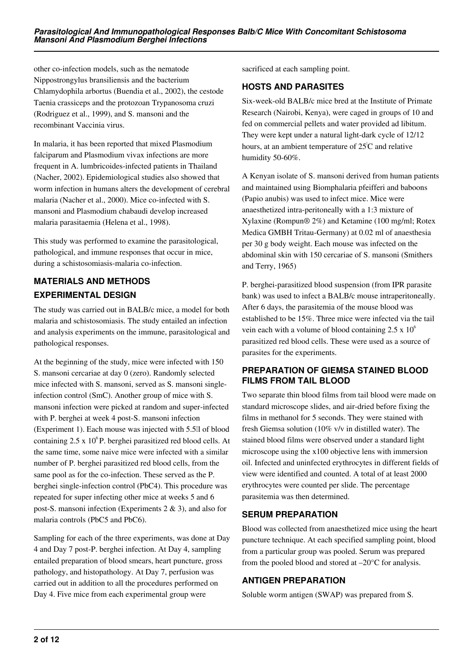other co-infection models, such as the nematode Nippostrongylus bransiliensis and the bacterium Chlamydophila arbortus (Buendia et al., 2002), the cestode Taenia crassiceps and the protozoan Trypanosoma cruzi (Rodriguez et al., 1999), and S. mansoni and the recombinant Vaccinia virus.

In malaria, it has been reported that mixed Plasmodium falciparum and Plasmodium vivax infections are more frequent in A. lumbricoides-infected patients in Thailand (Nacher, 2002). Epidemiological studies also showed that worm infection in humans alters the development of cerebral malaria (Nacher et al., 2000). Mice co-infected with S. mansoni and Plasmodium chabaudi develop increased malaria parasitaemia (Helena et al., 1998).

This study was performed to examine the parasitological, pathological, and immune responses that occur in mice, during a schistosomiasis-malaria co-infection.

# **MATERIALS AND METHODS EXPERIMENTAL DESIGN**

The study was carried out in BALB/c mice, a model for both malaria and schistosomiasis. The study entailed an infection and analysis experiments on the immune, parasitological and pathological responses.

At the beginning of the study, mice were infected with 150 S. mansoni cercariae at day 0 (zero). Randomly selected mice infected with S. mansoni, served as S. mansoni singleinfection control (SmC). Another group of mice with S. mansoni infection were picked at random and super-infected with P. berghei at week 4 post-S. mansoni infection (Experiment 1). Each mouse was injected with 5.5μl of blood containing  $2.5 \times 10^6$  P. berghei parasitized red blood cells. At the same time, some naive mice were infected with a similar number of P. berghei parasitized red blood cells, from the same pool as for the co-infection. These served as the P. berghei single-infection control (PbC4). This procedure was repeated for super infecting other mice at weeks 5 and 6 post-S. mansoni infection (Experiments 2 & 3), and also for malaria controls (PbC5 and PbC6).

Sampling for each of the three experiments, was done at Day 4 and Day 7 post-P. berghei infection. At Day 4, sampling entailed preparation of blood smears, heart puncture, gross pathology, and histopathology. At Day 7, perfusion was carried out in addition to all the procedures performed on Day 4. Five mice from each experimental group were

sacrificed at each sampling point.

#### **HOSTS AND PARASITES**

Six-week-old BALB/c mice bred at the Institute of Primate Research (Nairobi, Kenya), were caged in groups of 10 and fed on commercial pellets and water provided ad libitum. They were kept under a natural light-dark cycle of 12/12 hours, at an ambient temperature of  $25^{\circ}$ C and relative humidity 50-60%.

A Kenyan isolate of S. mansoni derived from human patients and maintained using Biomphalaria pfeifferi and baboons (Papio anubis) was used to infect mice. Mice were anaesthetized intra-peritoneally with a 1:3 mixture of Xylaxine (Rompun® 2%) and Ketamine (100 mg/ml; Rotex Medica GMBH Tritau-Germany) at 0.02 ml of anaesthesia per 30 g body weight. Each mouse was infected on the abdominal skin with 150 cercariae of S. mansoni (Smithers and Terry, 1965)

P. berghei-parasitized blood suspension (from IPR parasite bank) was used to infect a BALB/c mouse intraperitoneally. After 6 days, the parasitemia of the mouse blood was established to be 15%. Three mice were infected via the tail vein each with a volume of blood containing  $2.5 \times 10^6$ parasitized red blood cells. These were used as a source of parasites for the experiments.

### **PREPARATION OF GIEMSA STAINED BLOOD FILMS FROM TAIL BLOOD**

Two separate thin blood films from tail blood were made on standard microscope slides, and air-dried before fixing the films in methanol for 5 seconds. They were stained with fresh Giemsa solution (10% v/v in distilled water). The stained blood films were observed under a standard light microscope using the x100 objective lens with immersion oil. Infected and uninfected erythrocytes in different fields of view were identified and counted. A total of at least 2000 erythrocytes were counted per slide. The percentage parasitemia was then determined.

### **SERUM PREPARATION**

Blood was collected from anaesthetized mice using the heart puncture technique. At each specified sampling point, blood from a particular group was pooled. Serum was prepared from the pooled blood and stored at –20°C for analysis.

### **ANTIGEN PREPARATION**

Soluble worm antigen (SWAP) was prepared from S.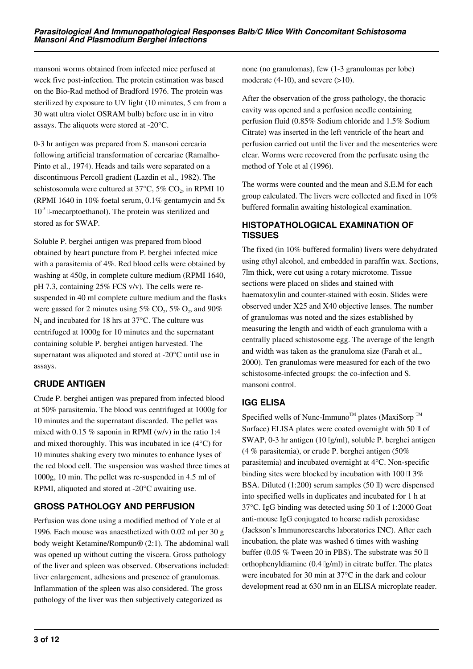mansoni worms obtained from infected mice perfused at week five post-infection. The protein estimation was based on the Bio-Rad method of Bradford 1976. The protein was sterilized by exposure to UV light (10 minutes, 5 cm from a 30 watt ultra violet OSRAM bulb) before use in in vitro assays. The aliquots were stored at -20°C.

0-3 hr antigen was prepared from S. mansoni cercaria following artificial transformation of cercariae (Ramalho-Pinto et al., 1974). Heads and tails were separated on a discontinuous Percoll gradient (Lazdin et al., 1982). The schistosomula were cultured at 37 $\rm ^{o}C$ , 5%  $\rm CO_{2}$ , in RPMI 10 (RPMI 1640 in 10% foetal serum, 0.1% gentamycin and 5x  $10^{-5}$  [-mecarptoethanol]. The protein was sterilized and stored as for SWAP.

Soluble P. berghei antigen was prepared from blood obtained by heart puncture from P. berghei infected mice with a parasitemia of 4%. Red blood cells were obtained by washing at 450g, in complete culture medium (RPMI 1640, pH 7.3, containing 25% FCS v/v). The cells were resuspended in 40 ml complete culture medium and the flasks were gassed for 2 minutes using  $5\%$  CO<sub>2</sub>,  $5\%$  O<sub>2</sub>, and  $90\%$  $N_2$  and incubated for 18 hrs at 37 $\degree$ C. The culture was centrifuged at 1000g for 10 minutes and the supernatant containing soluble P. berghei antigen harvested. The supernatant was aliquoted and stored at -20°C until use in assays.

# **CRUDE ANTIGEN**

Crude P. berghei antigen was prepared from infected blood at 50% parasitemia. The blood was centrifuged at 1000g for 10 minutes and the supernatant discarded. The pellet was mixed with 0.15 % saponin in RPMI (w/v) in the ratio 1:4 and mixed thoroughly. This was incubated in ice (4°C) for 10 minutes shaking every two minutes to enhance lyses of the red blood cell. The suspension was washed three times at 1000g, 10 min. The pellet was re-suspended in 4.5 ml of RPMI, aliquoted and stored at -20°C awaiting use.

# **GROSS PATHOLOGY AND PERFUSION**

Perfusion was done using a modified method of Yole et al 1996. Each mouse was anaesthetized with 0.02 ml per 30 g body weight Ketamine/Rompun® (2:1). The abdominal wall was opened up without cutting the viscera. Gross pathology of the liver and spleen was observed. Observations included: liver enlargement, adhesions and presence of granulomas. Inflammation of the spleen was also considered. The gross pathology of the liver was then subjectively categorized as

none (no granulomas), few (1-3 granulomas per lobe) moderate  $(4-10)$ , and severe  $(>10)$ .

After the observation of the gross pathology, the thoracic cavity was opened and a perfusion needle containing perfusion fluid (0.85% Sodium chloride and 1.5% Sodium Citrate) was inserted in the left ventricle of the heart and perfusion carried out until the liver and the mesenteries were clear. Worms were recovered from the perfusate using the method of Yole et al (1996).

The worms were counted and the mean and S.E.M for each group calculated. The livers were collected and fixed in 10% buffered formalin awaiting histological examination.

### **HISTOPATHOLOGICAL EXAMINATION OF TISSUES**

The fixed (in 10% buffered formalin) livers were dehydrated using ethyl alcohol, and embedded in paraffin wax. Sections, 7μm thick, were cut using a rotary microtome. Tissue sections were placed on slides and stained with haematoxylin and counter-stained with eosin. Slides were observed under X25 and X40 objective lenses. The number of granulomas was noted and the sizes established by measuring the length and width of each granuloma with a centrally placed schistosome egg. The average of the length and width was taken as the granuloma size (Farah et al., 2000). Ten granulomas were measured for each of the two schistosome-infected groups: the co-infection and S. mansoni control.

# **IGG ELISA**

Specified wells of Nunc-Immuno<sup>TM</sup> plates (MaxiSorp<sup>TM</sup>) Surface) ELISA plates were coated overnight with 50 ll of SWAP, 0-3 hr antigen (10 μg/ml), soluble P. berghei antigen (4 % parasitemia), or crude P. berghei antigen (50% parasitemia) and incubated overnight at 4°C. Non-specific binding sites were blocked by incubation with 100  $\scriptstyle\rm II$  3% BSA. Diluted (1:200) serum samples (50 ll) were dispensed into specified wells in duplicates and incubated for 1 h at 37°C. IgG binding was detected using 50 μl of 1:2000 Goat anti-mouse IgG conjugated to hoarse radish peroxidase (Jackson's Immunoresearchs laboratories INC). After each incubation, the plate was washed 6 times with washing buffer (0.05 % Tween 20 in PBS). The substrate was 50 μl orthophenyldiamine  $(0.4 \lg/ml)$  in citrate buffer. The plates were incubated for 30 min at 37°C in the dark and colour development read at 630 nm in an ELISA microplate reader.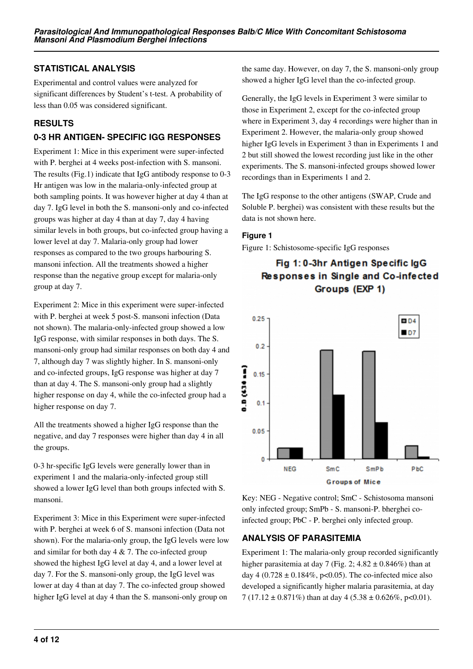### **STATISTICAL ANALYSIS**

Experimental and control values were analyzed for significant differences by Student's t-test. A probability of less than 0.05 was considered significant.

### **RESULTS**

# **0-3 HR ANTIGEN- SPECIFIC IGG RESPONSES**

Experiment 1: Mice in this experiment were super-infected with P. berghei at 4 weeks post-infection with S. mansoni. The results (Fig.1) indicate that IgG antibody response to 0-3 Hr antigen was low in the malaria-only-infected group at both sampling points. It was however higher at day 4 than at day 7. IgG level in both the S. mansoni-only and co-infected groups was higher at day 4 than at day 7, day 4 having similar levels in both groups, but co-infected group having a lower level at day 7. Malaria-only group had lower responses as compared to the two groups harbouring S. mansoni infection. All the treatments showed a higher response than the negative group except for malaria-only group at day 7.

Experiment 2: Mice in this experiment were super-infected with P. berghei at week 5 post-S. mansoni infection (Data not shown). The malaria-only-infected group showed a low IgG response, with similar responses in both days. The S. mansoni-only group had similar responses on both day 4 and 7, although day 7 was slightly higher. In S. mansoni-only and co-infected groups, IgG response was higher at day 7 than at day 4. The S. mansoni-only group had a slightly higher response on day 4, while the co-infected group had a higher response on day 7.

All the treatments showed a higher IgG response than the negative, and day 7 responses were higher than day 4 in all the groups.

0-3 hr-specific IgG levels were generally lower than in experiment 1 and the malaria-only-infected group still showed a lower IgG level than both groups infected with S. mansoni.

Experiment 3: Mice in this Experiment were super-infected with P. berghei at week 6 of S. mansoni infection (Data not shown). For the malaria-only group, the IgG levels were low and similar for both day  $4 \& 7$ . The co-infected group showed the highest IgG level at day 4, and a lower level at day 7. For the S. mansoni-only group, the IgG level was lower at day 4 than at day 7. The co-infected group showed higher IgG level at day 4 than the S. mansoni-only group on

the same day. However, on day 7, the S. mansoni-only group showed a higher IgG level than the co-infected group.

Generally, the IgG levels in Experiment 3 were similar to those in Experiment 2, except for the co-infected group where in Experiment 3, day 4 recordings were higher than in Experiment 2. However, the malaria-only group showed higher IgG levels in Experiment 3 than in Experiments 1 and 2 but still showed the lowest recording just like in the other experiments. The S. mansoni-infected groups showed lower recordings than in Experiments 1 and 2.

The IgG response to the other antigens (SWAP, Crude and Soluble P. berghei) was consistent with these results but the data is not shown here.

#### **Figure 1**

Figure 1: Schistosome-specific IgG responses

# Fig 1: 0-3hr Antigen Specific IgG Responses in Single and Co-infected Groups (EXP 1)



Key: NEG - Negative control; SmC - Schistosoma mansoni only infected group; SmPb - S. mansoni-P. bherghei coinfected group; PbC - P. berghei only infected group.

### **ANALYSIS OF PARASITEMIA**

Experiment 1: The malaria-only group recorded significantly higher parasitemia at day 7 (Fig. 2;  $4.82 \pm 0.846\%$ ) than at day 4 (0.728  $\pm$  0.184%, p<0.05). The co-infected mice also developed a significantly higher malaria parasitemia, at day 7 (17.12  $\pm$  0.871%) than at day 4 (5.38  $\pm$  0.626%, p<0.01).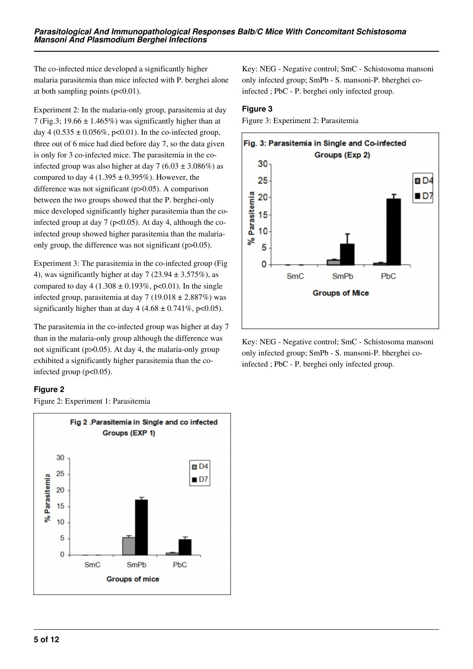The co-infected mice developed a significantly higher malaria parasitemia than mice infected with P. berghei alone at both sampling points  $(p<0.01)$ .

Experiment 2: In the malaria-only group, parasitemia at day 7 (Fig.3; 19.66  $\pm$  1.465%) was significantly higher than at day 4 (0.535  $\pm$  0.056%, p<0.01). In the co-infected group, three out of 6 mice had died before day 7, so the data given is only for 3 co-infected mice. The parasitemia in the coinfected group was also higher at day 7 (6.03  $\pm$  3.086%) as compared to day 4 (1.395  $\pm$  0.395%). However, the difference was not significant (p>0.05). A comparison between the two groups showed that the P. berghei-only mice developed significantly higher parasitemia than the coinfected group at day 7 ( $p<0.05$ ). At day 4, although the coinfected group showed higher parasitemia than the malariaonly group, the difference was not significant (p>0.05).

Experiment 3: The parasitemia in the co-infected group (Fig 4), was significantly higher at day 7 (23.94  $\pm$  3.575%), as compared to day  $4 (1.308 \pm 0.193\%, p<0.01)$ . In the single infected group, parasitemia at day 7 (19.018  $\pm$  2.887%) was significantly higher than at day  $4 (4.68 \pm 0.741\%, \text{p} < 0.05)$ .

The parasitemia in the co-infected group was higher at day 7 than in the malaria-only group although the difference was not significant (p>0.05). At day 4, the malaria-only group exhibited a significantly higher parasitemia than the coinfected group  $(p<0.05)$ .

### **Figure 2**

Figure 2: Experiment 1: Parasitemia



Key: NEG - Negative control; SmC - Schistosoma mansoni only infected group; SmPb - S. mansoni-P. bherghei coinfected ; PbC - P. berghei only infected group.

#### **Figure 3**

Figure 3: Experiment 2: Parasitemia



Key: NEG - Negative control; SmC - Schistosoma mansoni only infected group; SmPb - S. mansoni-P. bherghei coinfected ; PbC - P. berghei only infected group.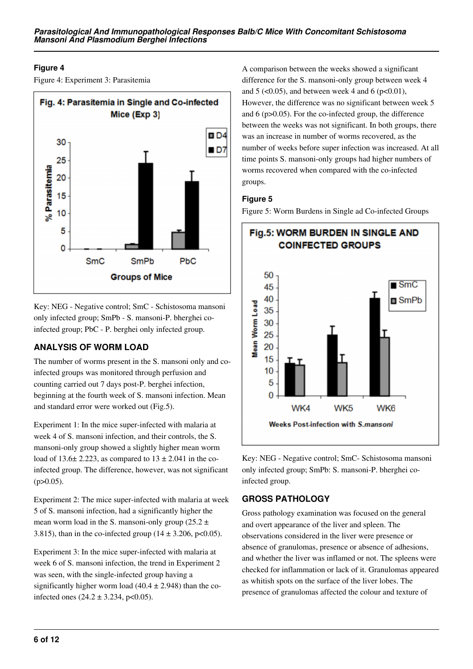### **Figure 4**

Figure 4: Experiment 3: Parasitemia



Key: NEG - Negative control; SmC - Schistosoma mansoni only infected group; SmPb - S. mansoni-P. bherghei coinfected group; PbC - P. berghei only infected group.

# **ANALYSIS OF WORM LOAD**

The number of worms present in the S. mansoni only and coinfected groups was monitored through perfusion and counting carried out 7 days post-P. berghei infection, beginning at the fourth week of S. mansoni infection. Mean and standard error were worked out (Fig.5).

Experiment 1: In the mice super-infected with malaria at week 4 of S. mansoni infection, and their controls, the S. mansoni-only group showed a slightly higher mean worm load of 13.6 $\pm$  2.223, as compared to 13  $\pm$  2.041 in the coinfected group. The difference, however, was not significant  $(p>0.05)$ .

Experiment 2: The mice super-infected with malaria at week 5 of S. mansoni infection, had a significantly higher the mean worm load in the S. mansoni-only group (25.2  $\pm$ 3.815), than in the co-infected group  $(14 \pm 3.206, \text{p} < 0.05)$ .

Experiment 3: In the mice super-infected with malaria at week 6 of S. mansoni infection, the trend in Experiment 2 was seen, with the single-infected group having a significantly higher worm load  $(40.4 \pm 2.948)$  than the coinfected ones  $(24.2 \pm 3.234, \text{ p} < 0.05)$ .

A comparison between the weeks showed a significant difference for the S. mansoni-only group between week 4 and  $5 \left( \langle 0.05 \rangle \right)$ , and between week 4 and 6 (p $\langle 0.01 \rangle$ ), However, the difference was no significant between week 5 and 6 (p>0.05). For the co-infected group, the difference between the weeks was not significant. In both groups, there was an increase in number of worms recovered, as the number of weeks before super infection was increased. At all time points S. mansoni-only groups had higher numbers of worms recovered when compared with the co-infected groups.

### **Figure 5**

Figure 5: Worm Burdens in Single ad Co-infected Groups



Key: NEG - Negative control; SmC- Schistosoma mansoni only infected group; SmPb: S. mansoni-P. bherghei coinfected group.

# **GROSS PATHOLOGY**

Gross pathology examination was focused on the general and overt appearance of the liver and spleen. The observations considered in the liver were presence or absence of granulomas, presence or absence of adhesions, and whether the liver was inflamed or not. The spleens were checked for inflammation or lack of it. Granulomas appeared as whitish spots on the surface of the liver lobes. The presence of granulomas affected the colour and texture of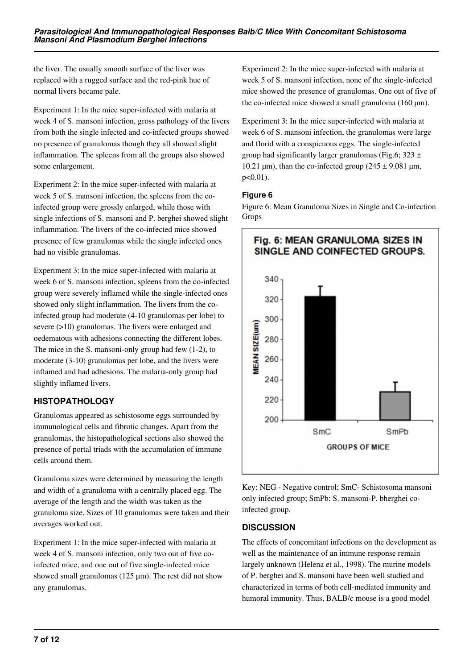the liver. The usually smooth surface of the liver was replaced with a rugged surface and the red-pink hue of normal livers became pale.

Experiment 1: In the mice super-infected with malaria at week 4 of S. mansoni infection, gross pathology of the livers from both the single infected and co-infected groups showed no presence of granulomas though they all showed slight inflammation. The spleens from all the groups also showed some enlargement.

Experiment 2: In the mice super-infected with malaria at week 5 of S. mansoni infection, the spleens from the coinfected group were grossly enlarged, while those with single infections of S. mansoni and P. berghei showed slight inflammation. The livers of the co-infected mice showed presence of few granulomas while the single infected ones had no visible granulomas.

Experiment 3: In the mice super-infected with malaria at week 6 of S. mansoni infection, spleens from the co-infected group were severely inflamed while the single-infected ones showed only slight inflammation. The livers from the coinfected group had moderate (4-10 granulomas per lobe) to severe (>10) granulomas. The livers were enlarged and oedematous with adhesions connecting the different lobes. The mice in the S. mansoni-only group had few (1-2), to moderate (3-10) granulomas per lobe, and the livers were inflamed and had adhesions. The malaria-only group had slightly inflamed livers.

# **HISTOPATHOLOGY**

Granulomas appeared as schistosome eggs surrounded by immunological cells and fibrotic changes. Apart from the granulomas, the histopathological sections also showed the presence of portal triads with the accumulation of immune cells around them.

Granuloma sizes were determined by measuring the length and width of a granuloma with a centrally placed egg. The average of the length and the width was taken as the granuloma size. Sizes of 10 granulomas were taken and their averages worked out.

Experiment 1: In the mice super-infected with malaria at week 4 of S. mansoni infection, only two out of five coinfected mice, and one out of five single-infected mice showed small granulomas (125 µm). The rest did not show any granulomas.

Experiment 2: In the mice super-infected with malaria at week 5 of S. mansoni infection, none of the single-infected mice showed the presence of granulomas. One out of five of the co-infected mice showed a small granuloma  $(160 \mu m)$ .

Experiment 3: In the mice super-infected with malaria at week 6 of S. mansoni infection, the granulomas were large and florid with a conspicuous eggs. The single-infected group had significantly larger granulomas (Fig.6;  $323 \pm$ 10.21  $\mu$ m), than the co-infected group (245  $\pm$  9.081  $\mu$ m, p<0.01).

### **Figure 6**

Figure 6: Mean Granuloma Sizes in Single and Co-infection Grops



Key: NEG - Negative control; SmC- Schistosoma mansoni only infected group; SmPb: S. mansoni-P. bherghei coinfected group.

# **DISCUSSION**

The effects of concomitant infections on the development as well as the maintenance of an immune response remain largely unknown (Helena et al., 1998). The murine models of P. berghei and S. mansoni have been well studied and characterized in terms of both cell-mediated immunity and humoral immunity. Thus, BALB/c mouse is a good model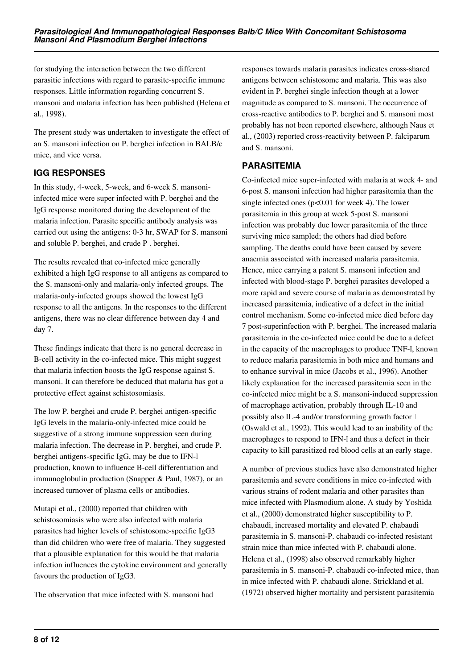for studying the interaction between the two different parasitic infections with regard to parasite-specific immune responses. Little information regarding concurrent S. mansoni and malaria infection has been published (Helena et al., 1998).

The present study was undertaken to investigate the effect of an S. mansoni infection on P. berghei infection in BALB/c mice, and vice versa.

# **IGG RESPONSES**

In this study, 4-week, 5-week, and 6-week S. mansoniinfected mice were super infected with P. berghei and the IgG response monitored during the development of the malaria infection. Parasite specific antibody analysis was carried out using the antigens: 0-3 hr, SWAP for S. mansoni and soluble P. berghei, and crude P . berghei.

The results revealed that co-infected mice generally exhibited a high IgG response to all antigens as compared to the S. mansoni-only and malaria-only infected groups. The malaria-only-infected groups showed the lowest IgG response to all the antigens. In the responses to the different antigens, there was no clear difference between day 4 and day 7.

These findings indicate that there is no general decrease in B-cell activity in the co-infected mice. This might suggest that malaria infection boosts the IgG response against S. mansoni. It can therefore be deduced that malaria has got a protective effect against schistosomiasis.

The low P. berghei and crude P. berghei antigen-specific IgG levels in the malaria-only-infected mice could be suggestive of a strong immune suppression seen during malaria infection. The decrease in P. berghei, and crude P. berghei antigens-specific IgG, may be due to IFNproduction, known to influence B-cell differentiation and immunoglobulin production (Snapper & Paul, 1987), or an increased turnover of plasma cells or antibodies.

Mutapi et al., (2000) reported that children with schistosomiasis who were also infected with malaria parasites had higher levels of schistosome-specific IgG3 than did children who were free of malaria. They suggested that a plausible explanation for this would be that malaria infection influences the cytokine environment and generally favours the production of IgG3.

The observation that mice infected with S. mansoni had

responses towards malaria parasites indicates cross-shared antigens between schistosome and malaria. This was also evident in P. berghei single infection though at a lower magnitude as compared to S. mansoni. The occurrence of cross-reactive antibodies to P. berghei and S. mansoni most probably has not been reported elsewhere, although Naus et al., (2003) reported cross-reactivity between P. falciparum and S. mansoni.

### **PARASITEMIA**

Co-infected mice super-infected with malaria at week 4- and 6-post S. mansoni infection had higher parasitemia than the single infected ones ( $p<0.01$  for week 4). The lower parasitemia in this group at week 5-post S. mansoni infection was probably due lower parasitemia of the three surviving mice sampled; the others had died before sampling. The deaths could have been caused by severe anaemia associated with increased malaria parasitemia. Hence, mice carrying a patent S. mansoni infection and infected with blood-stage P. berghei parasites developed a more rapid and severe course of malaria as demonstrated by increased parasitemia, indicative of a defect in the initial control mechanism. Some co-infected mice died before day 7 post-superinfection with P. berghei. The increased malaria parasitemia in the co-infected mice could be due to a defect in the capacity of the macrophages to produce TNF- $\mathbb{I}$ , known to reduce malaria parasitemia in both mice and humans and to enhance survival in mice (Jacobs et al., 1996). Another likely explanation for the increased parasitemia seen in the co-infected mice might be a S. mansoni-induced suppression of macrophage activation, probably through IL-10 and possibly also IL-4 and/or transforming growth factor β (Oswald et al., 1992). This would lead to an inability of the macrophages to respond to IFN-I and thus a defect in their capacity to kill parasitized red blood cells at an early stage.

A number of previous studies have also demonstrated higher parasitemia and severe conditions in mice co-infected with various strains of rodent malaria and other parasites than mice infected with Plasmodium alone. A study by Yoshida et al., (2000) demonstrated higher susceptibility to P. chabaudi, increased mortality and elevated P. chabaudi parasitemia in S. mansoni-P. chabaudi co-infected resistant strain mice than mice infected with P. chabaudi alone. Helena et al., (1998) also observed remarkably higher parasitemia in S. mansoni-P. chabaudi co-infected mice, than in mice infected with P. chabaudi alone. Strickland et al. (1972) observed higher mortality and persistent parasitemia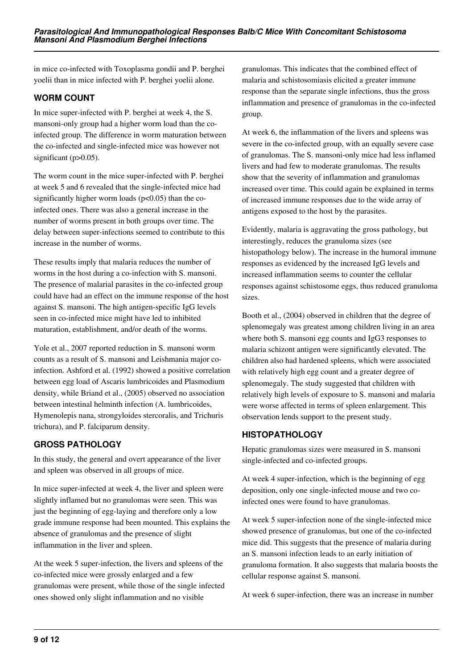in mice co-infected with Toxoplasma gondii and P. berghei yoelii than in mice infected with P. berghei yoelii alone.

### **WORM COUNT**

In mice super-infected with P. berghei at week 4, the S. mansoni-only group had a higher worm load than the coinfected group. The difference in worm maturation between the co-infected and single-infected mice was however not significant (p>0.05).

The worm count in the mice super-infected with P. berghei at week 5 and 6 revealed that the single-infected mice had significantly higher worm loads ( $p<0.05$ ) than the coinfected ones. There was also a general increase in the number of worms present in both groups over time. The delay between super-infections seemed to contribute to this increase in the number of worms.

These results imply that malaria reduces the number of worms in the host during a co-infection with S. mansoni. The presence of malarial parasites in the co-infected group could have had an effect on the immune response of the host against S. mansoni. The high antigen-specific IgG levels seen in co-infected mice might have led to inhibited maturation, establishment, and/or death of the worms.

Yole et al., 2007 reported reduction in S. mansoni worm counts as a result of S. mansoni and Leishmania major coinfection. Ashford et al. (1992) showed a positive correlation between egg load of Ascaris lumbricoides and Plasmodium density, while Briand et al., (2005) observed no association between intestinal helminth infection (A. lumbricoides, Hymenolepis nana, strongyloides stercoralis, and Trichuris trichura), and P. falciparum density.

# **GROSS PATHOLOGY**

In this study, the general and overt appearance of the liver and spleen was observed in all groups of mice.

In mice super-infected at week 4, the liver and spleen were slightly inflamed but no granulomas were seen. This was just the beginning of egg-laying and therefore only a low grade immune response had been mounted. This explains the absence of granulomas and the presence of slight inflammation in the liver and spleen.

At the week 5 super-infection, the livers and spleens of the co-infected mice were grossly enlarged and a few granulomas were present, while those of the single infected ones showed only slight inflammation and no visible

granulomas. This indicates that the combined effect of malaria and schistosomiasis elicited a greater immune response than the separate single infections, thus the gross inflammation and presence of granulomas in the co-infected group.

At week 6, the inflammation of the livers and spleens was severe in the co-infected group, with an equally severe case of granulomas. The S. mansoni-only mice had less inflamed livers and had few to moderate granulomas. The results show that the severity of inflammation and granulomas increased over time. This could again be explained in terms of increased immune responses due to the wide array of antigens exposed to the host by the parasites.

Evidently, malaria is aggravating the gross pathology, but interestingly, reduces the granuloma sizes (see histopathology below). The increase in the humoral immune responses as evidenced by the increased IgG levels and increased inflammation seems to counter the cellular responses against schistosome eggs, thus reduced granuloma sizes.

Booth et al., (2004) observed in children that the degree of splenomegaly was greatest among children living in an area where both S. mansoni egg counts and IgG3 responses to malaria schizont antigen were significantly elevated. The children also had hardened spleens, which were associated with relatively high egg count and a greater degree of splenomegaly. The study suggested that children with relatively high levels of exposure to S. mansoni and malaria were worse affected in terms of spleen enlargement. This observation lends support to the present study.

### **HISTOPATHOLOGY**

Hepatic granulomas sizes were measured in S. mansoni single-infected and co-infected groups.

At week 4 super-infection, which is the beginning of egg deposition, only one single-infected mouse and two coinfected ones were found to have granulomas.

At week 5 super-infection none of the single-infected mice showed presence of granulomas, but one of the co-infected mice did. This suggests that the presence of malaria during an S. mansoni infection leads to an early initiation of granuloma formation. It also suggests that malaria boosts the cellular response against S. mansoni.

At week 6 super-infection, there was an increase in number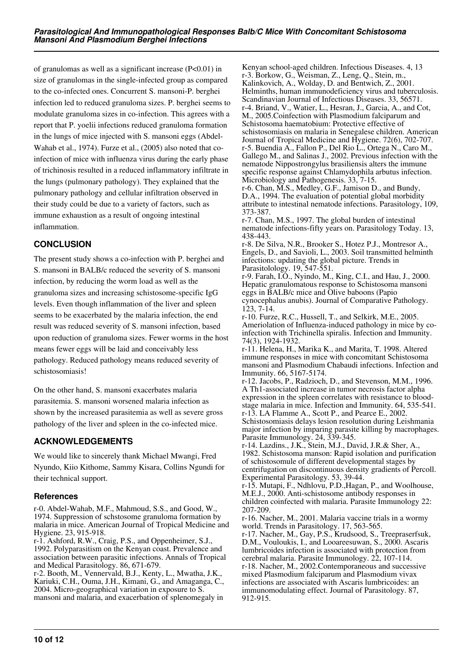of granulomas as well as a significant increase  $(P<0.01)$  in size of granulomas in the single-infected group as compared to the co-infected ones. Concurrent S. mansoni-P. berghei infection led to reduced granuloma sizes. P. berghei seems to modulate granuloma sizes in co-infection. This agrees with a report that P. yoelii infections reduced granuloma formation in the lungs of mice injected with S. mansoni eggs (Abdel-Wahab et al., 1974). Furze et al., (2005) also noted that coinfection of mice with influenza virus during the early phase of trichinosis resulted in a reduced inflammatory infiltrate in the lungs (pulmonary pathology). They explained that the pulmonary pathology and cellular infiltration observed in their study could be due to a variety of factors, such as immune exhaustion as a result of ongoing intestinal inflammation.

### **CONCLUSION**

The present study shows a co-infection with P. berghei and S. mansoni in BALB/c reduced the severity of S. mansoni infection, by reducing the worm load as well as the granuloma sizes and increasing schistosome-specific IgG levels. Even though inflammation of the liver and spleen seems to be exacerbated by the malaria infection, the end result was reduced severity of S. mansoni infection, based upon reduction of granuloma sizes. Fewer worms in the host means fewer eggs will be laid and conceivably less pathology. Reduced pathology means reduced severity of schistosomiasis!

On the other hand, S. mansoni exacerbates malaria parasitemia. S. mansoni worsened malaria infection as shown by the increased parasitemia as well as severe gross pathology of the liver and spleen in the co-infected mice.

### **ACKNOWLEDGEMENTS**

We would like to sincerely thank Michael Mwangi, Fred Nyundo, Kiio Kithome, Sammy Kisara, Collins Ngundi for their technical support.

#### **References**

r-0. Abdel-Wahab, M.F., Mahmoud, S.S., and Good, W., 1974. Suppression of schstosome granuloma formation by malaria in mice. American Journal of Tropical Medicine and Hygiene. 23, 915-918.

r-1. Ashford, R.W., Craig, P.S., and Oppenheimer, S.J., 1992. Polyparasitism on the Kenyan coast. Prevalence and association between parasitic infections. Annals of Tropical and Medical Parasitology. 86, 671-679.

r-2. Booth, M., Vennervald, B.J., Kenty, L., Mwatha, J.K., Kariuki, C.H., Ouma, J.H., Kimani, G., and Amaganga, C., 2004. Micro-geographical variation in exposure to S. mansoni and malaria, and exacerbation of splenomegaly in

Kenyan school-aged children. Infectious Diseases. 4, 13 r-3. Borkow, G., Weisman, Z., Leng, Q., Stein, m., Kalinkovich, A., Wolday, D. and Bentwich, Z., 2001. Helminths, human immunodeficiency virus and tuberculosis. Scandinavian Journal of Infectious Diseases. 33, 56571. r-4. Briand, V., Watier, L., Hesran, J., Garcia, A., and Cot, M., 2005.Coinfection with Plasmodium falciparum and Schistosoma haematobium: Protective effective of schistosomiasis on malaria in Senegalese children. American Journal of Tropical Medicine and Hygiene. 72(6), 702-707. r-5. Buendia A., Fallon P., Del Rio L., Ortega N., Caro M., Gallego M., and Salinas J., 2002. Previous infection with the nematode Nippostrongylus brasiliensis alters the immune specific response against Chlamydophila arbutus infection. Microbiology and Pathogenesis. 33, 7-15.

r-6. Chan, M.S., Medley, G.F., Jamison D., and Bundy, D.A., 1994. The evaluation of potential global morbidity attribute to intestinal nematode infections. Parasitology, 109, 373-387.

r-7. Chan, M.S., 1997. The global burden of intestinal nematode infections-fifty years on. Parasitology Today. 13, 438-443.

r-8. De Silva, N.R., Brooker S., Hotez P.J., Montresor A., Engels, D., and Savioli, L., 2003. Soil transmitted helminth infections: updating the global picture. Trends in Parasitolology. 19, 547-551.

r-9. Farah, I.O., Nyindo, M., King, C.I., and Hau, J., 2000. Hepatic granulomatous response to Schistosoma mansoni eggs in BALB/c mice and Olive baboons (Papio cynocephalus anubis). Journal of Comparative Pathology. 123, 7-14.

r-10. Furze, R.C., Hussell, T., and Selkirk, M.E., 2005. Ameriolation of Influenza-induced pathology in mice by coinfection with Trichinella spiralis. Infection and Immunity. 74(3), 1924-1932.

r-11. Helena, H., Marika K., and Marita, T. 1998. Altered immune responses in mice with concomitant Schistosoma mansoni and Plasmodium Chabaudi infections. Infection and Immunity. 66, 5167-5174.

r-12. Jacobs, P., Radzioch, D., and Stevenson, M.M., 1996. A Th1-associated increase in tumor necrosis factor alpha expression in the spleen correlates with resistance to bloodstage malaria in mice. Infection and Immunity. 64, 535-541. r-13. LA Flamme A., Scott P., and Pearce E., 2002.

Schistosomiasis delays lesion resolution during Leishmania major infection by imparing parasite killing by macrophages. Parasite Immunology. 24, 339-345.

r-14. Lazdins., J.K., Stein, M.J., David, J.R.& Sher, A., 1982. Schistosoma manson: Rapid isolation and purification of schistosomule of different developmental stages by centrifugation on discontinuous density gradients of Percoll. Experimental Parasitology. 53, 39-44.

r-15. Mutapi, F., Ndhlovu, P.D.,Hagan, P., and Woolhouse, M.E.J., 2000. Anti-schistosome antibody responses in children coinfected with malaria. Parasite Immunology 22: 207-209.

r-16. Nacher, M., 2001. Malaria vaccine trials in a wormy world. Trends in Parasitology. 17, 563-565.

r-17. Nacher, M., Gay, P.S., Krudsood, S., Treepraserfsuk, D.M., Vouloukis, I., and Looareesuwan, S., 2000. Ascaris lumbricoides infection is associated with protection from cerebral malaria. Parasite Immunology. 22, 107-114. r-18. Nacher, M., 2002.Contemporaneous and successive mixed Plasmodium falciparum and Plasmodium vivax infections are associated with Ascaris lumbricoides: an immunomodulating effect. Journal of Parasitology. 87, 912-915.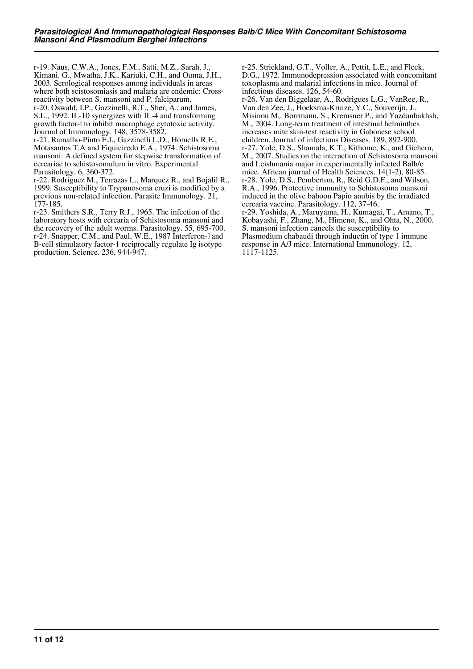r-19. Naus, C.W.A., Jones, F.M., Satti, M.Z., Sarah, J., Kimani. G., Mwatha, J.K., Kariuki, C.H., and Ouma, J.H., 2003. Serological responses among individuals in areas where both scistosomiasis and malaria are endemic: Crossreactivity between S. mansoni and P. falciparum. r-20. Oswald, I.P., Gazzinelli, R.T., Sher, A., and James, S.L., 1992. IL-10 synergizes with IL-4 and transforming growth factor-β to inhibit macrophage cytotoxic activity. Journal of Immunology. 148, 3578-3582.

r-21. Ramalho-Pinto F.J., Gazzinelli L.D., Homells R.E., Motasantos T.A and Fiquieiredo E.A., 1974. Schistosoma mansoni: A defined system for stepwise transformation of cercariae to schistosomulum in vitro. Experimental Parasitology. 6, 360-372.

r-22. Rodriguez M., Terrazas L., Marquez R., and Bojalil R., 1999. Susceptibility to Trypanosoma cruzi is modified by a previous non-related infection. Parasite Immunology. 21, 177-185.

r-23. Smithers S.R., Terry R.J., 1965. The infection of the laboratory hosts with cercaria of Schistosoma mansoni and the recovery of the adult worms. Parasitology. 55, 695-700. r-24. Snapper, C.M., and Paul, W.E., 1987 Interferon-l and B-cell stimulatory factor-1 reciprocally regulate Ig isotype production. Science. 236, 944-947.

r-25. Strickland, G.T., Voller, A., Pettit, L.E., and Fleck, D.G., 1972. Immunodepression associated with concomitant toxoplasma and malarial infections in mice. Journal of infectious diseases. 126, 54-60.

r-26. Van den Biggelaar, A., Rodrigues L.G., VanRee, R., Van den Zee, J., Hoeksma-Kruize, Y.C., Souverijn, J., Misinou M,. Borrmann, S., Kremsner P., and Yazdanbakhsh, M., 2004. Long-term treatment of intestinal helminthes increases mite skin-test reactivity in Gabonese school children. Journal of infectious Diseases. 189, 892-900. r-27. Yole, D.S., Shamala, K.T., Kithome, K., and Gicheru, M., 2007. Studies on the interaction of Schistosoma mansoni and Leishmania major in experimentally infected Balb/c mice. African journal of Health Sciences. 14(1-2), 80-85. r-28. Yole, D.S., Pemberton, R., Reid G.D.F., and Wilson, R.A., 1996. Protective immunity to Schistosoma mansoni induced in the olive baboon Papio anubis by the irradiated cercaria vaccine. Parasitology. 112, 37-46. r-29. Yoshida, A., Maruyama, H., Kumagai, T., Amano, T., Kobayashi, F., Zhang, M., Himeno, K., and Ohta, N., 2000.

S. mansoni infection cancels the susceptibility to Plasmodium chabaudi through inductin of type 1 immune response in A/J mice. International Immunology. 12, 1117-1125.